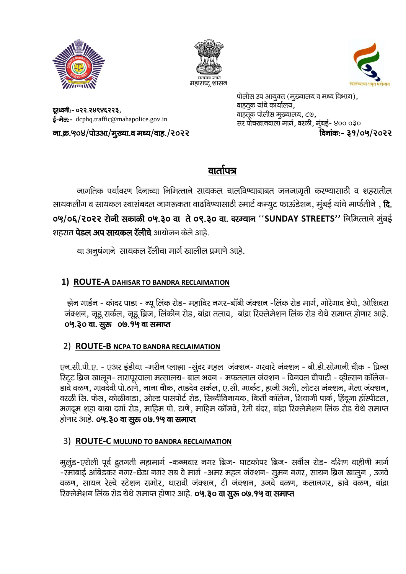





दूरध्वनी:- ०२२.२४९४६२२३, ई-मेल:- dcphq.traffic@mahapolice.gov.in पोलीस उप आयुक्त (मुख्यालय व मध्य विभाग), वाहतूक यांचे कार्यालय, वाहतूक पोलीस मुख्यालय,  $\zeta$ ७, सर पोचखानवाला मार्ग, वरळी, मुंबई- ४०० ०३०

<u>ना.क्र.५०४/पोउआ/मुख्या.व मध्य/वाह./२०२२ क्रिक्क्केड क्रिकेट क्रिक्रांक:- ३१/०५/२०२२ विज्ञांक:- ३१</u>

# वार्तापत्र

जागतिक पर्यावरण दिनाच्या निमित्ताने सायकल चालविण्याबाबत जनजागृती करण्यासाठी व शहरातील सायकलींग व सायकल स्वारांबदल जागरूकता वाढविण्यासाठी स्मार्ट कम्युट फाऊंडेशन, मुंबई यांचे मार्फतीने , **दि.** 0%/0६/२०२२ रोजी सकाळी ०५.३० वा ते ०९.३० वा. दरम्यान "SUNDAY STREETS" निमित्ताने मुंबई शहरात **पेडल अप सायकल रॅलीचे** आयोजन केले आहे.

या अनूषंगाने सायकल रॅलीचा मार्ग खालील प्रमाणे आहे.

## **1) ROUTE-A DAHISAR TO BANDRA RECLAIMATION**

झेन गार्डन - कांदर पाडा - न्यू लिंक रोड- महाविर नगर-बॉबी जंक्शन -लिंक रोड मार्ग, गोरेगाव डेपो, ओशिवरा जंक्शन, जूहू सर्कल, जूहू ब्रिज, लिंकीन रोड, बांद्रा तलाव, बांद्रा रिक्लेमेशन लिंक रोड येथे समाप्त होणार आहे. 04.30 वा. सुरु 00.94 वा समाप्त

## 2) **ROUTE-B NCPA TO BANDRA RECLAIMATION**

एन.सी.पी.ए. - एअर इंडीया -मरीन प्लाझा -सुंदर महल जंक्शन- गरवारे जंक्शन - बी.डी.सोमानी चौक - प्रिन्स हिट्ट ब्रिज खालून- तारापूरवाला मत्सालय- बाल भवन - मफतलाल जंक्शन - विनवल चौपाटी - व्हील्सन कॉलेज-डावे वळण, गावदेवी पो.ठाणे, नाना चौक, ताडदेव सर्कल, ए.सी. मार्कट, हाजी अली, लोटस जंक्शन, मेला जंक्शन, वरळी सि. फेस, कोळीवाडा, ओल्ड पासपोर्ट रोड, सिध्दीविनायक, किर्ती कॉलेज, शिवाजी पार्क, हिंदूजा हॉस्पीटल, मगदूम शहा बाबा दर्गा रोड, माहिम पो. ठाणे, माहिम कॉजवे, रेती बंदर, बांद्रा रिक्लेमेशन लिंक रोड येथे समाप्त होणार आहे. **०५.३० वा सूरु ०७.१५ वा समाप्त** 

### 3) **ROUTE-C MULUND TO BANDRA RECLAIMATION**

मुलुंड-एरोली पूर्व द्रुतगती महामार्ग -कन्मवार नगर ब्रिज- घाटकोपर ब्रिज- सर्वीस रोड- दक्षिण वाहीणी मार्ग &jekckbZ vkacsMdj uxj&NsMk uxj lc os ekxZ &vej egy taD'ku& lqeu uxj] lk;u fczt [kkyqu ] mtos वळण, सायन रेल्वे स्टेशन समोर, धारावी जंक्शन, टी जंक्शन, उजवे वळण, कलानगर, डावे वळण, बांद्रा रिक्लेमेशन लिंक रोड येथे समाप्त होणार आहे. 0**५.३० वा सुरू ०७.१५ वा समाप्त**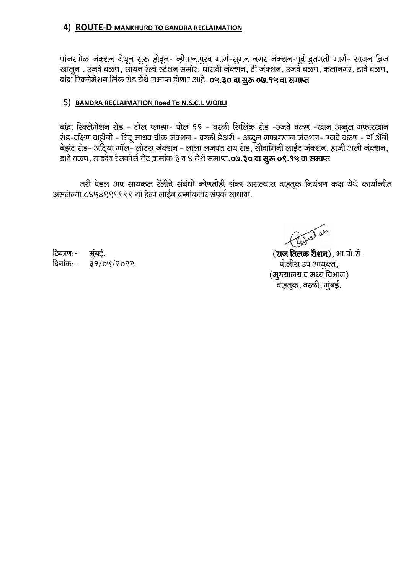#### 4) ROUTE-D MANKHURD TO BANDRA RECLAIMATION

पांजरपोळ जंक्शन येथून सुरू होवून- व्ही.एन.पुरव मार्ग-सुमन नगर जंक्शन-पूर्व द्रुतगती मार्ग- सायन ब्रिज खालुन , उजवे वळण, सायन रेल्वे स्टेशन समोर, धारावी जंक्शन, टी जंक्शन, उजवे वळण, कलानगर, डावे वळण, बांद्रा रिक्लेमेशन लिंक रोड येथे समाप्त होणार आहे. **०५.३० वा सुरू ०७.१५ वा समाप्त** 

#### 5) BANDRA RECLAIMATION Road To N.S.C.I. WORLI

बांद्रा रिक्लेमेशन रोड - टोल प्लाझा- पोल १९ - वरळी सिलिंक रोड -उजवे वळण -खान अब्दुल गफारखान रोड-दक्षिण वाहीनी - बिंदू माधव चौक जंक्शन - वरळी डेअरी - अब्दुल गफारखान जंक्शन- उजवे वळण - डॉ ॲनी बेझंट रोड- अट्रिया मॉल- लोटस जंक्शन - लाला लजपत राय रोड, सोदामिनी लाईट जंक्शन, हाजी अली जंक्शन, डावे वळण, ताडदेव रेसकोर्स गेट क्रमांक ३ व ४ येथे समाप्त.0७.३० वा सुरू ०९.१५ वा समाप्त

तरी पेडल अप सायकल रॅलीचे संबंधी कोणतीही शंका असल्यास वाहतूक नियंत्रण कक्ष येथे कार्यान्वीत असलेल्या ८४५४९९९९९९ या हेल्प लाईन क्रमांकावर संपर्क साधावा.

ठिकाण:-मुंबई. दिनांक:- ३१/०५/२०२२.

phylar

(**राज तिलक रौशन**), भा.पो.से. पोलीस उप आयूक्त, (मुख्यालय व मध्य विभाग) वाहतूक, वरळी, मुंबई.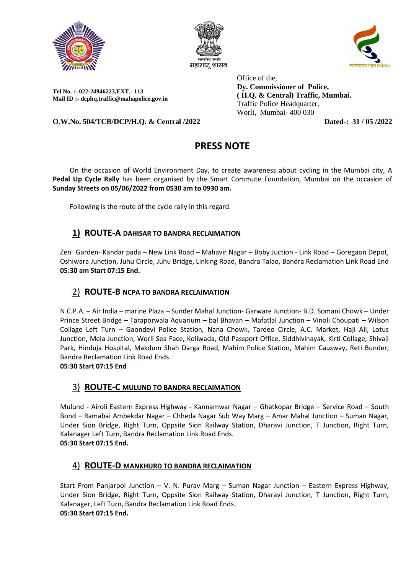





**Tel No. :- 022-24946223,EXT.- 113 Mail ID :- dcphq.traffic@mahapolice.gov.in** Office of the, **Dy. Commissioner of Police, ( H.Q. & Central) Traffic, Mumbai.**  Traffic Police Headquarter, Worli, Mumbai- 400 030

**O.W.No. 504/TCB/DCP/H.Q. & Central /2022 Dated-: 31 / 05 /2022**

## **PRESS NOTE**

 On the occasion of World Environment Day, to create awareness about cycling in the Mumbai city, A **Pedal Up Cycle Rally** has been organised by the Smart Commute Foundation, Mumbai on the occasion of **Sunday Streets on 05/06/2022 from 0530 am to 0930 am.**

Following is the route of the cycle rally in this regard.

#### **1) ROUTE-A DAHISAR TO BANDRA RECLAIMATION**

Zen Garden- Kandar pada – New Link Road – Mahavir Nagar – Boby Juction - Link Road – Goregaon Depot, Oshiwara Junction, Juhu Circle, Juhu Bridge, Linking Road, Bandra Talao, Bandra Reclamation Link Road End **05:30 am Start 07:15 End.**

### 2) **ROUTE-B NCPA TO BANDRA RECLAIMATION**

N.C.P.A. – Air India – marine Plaza – Sunder Mahal Junction- Garware Junction- B.D. Somani Chowk – Under Prince Street Bridge – Taraporwala Aquarium – bal Bhavan – Mafatlal Junction – Vinoli Choupati – Wilson Collage Left Turn – Gaondevi Police Station, Nana Chowk, Tardeo Circle, A.C. Market, Haji Ali, Lotus Junction, Mela Junction, Worli Sea Face, Koliwada, Old Passport Office, Siddhivinayak, Kirti Collage, Shivaji Park, Hinduja Hospital, Makdum Shah Darga Road, Mahim Police Station, Mahim Causway, Reti Bunder, Bandra Reclamation Link Road Ends.

#### **05:30 Start 07:15 End**

#### 3) **ROUTE-C MULUND TO BANDRA RECLAIMATION**

Mulund - Airoli Eastern Express Highway - Kannamwar Nagar – Ghatkopar Bridge – Service Road – South Bond – Ramabai Ambekdar Nagar – Chheda Nagar Sub Way Marg – Amar Mahal Junction – Suman Nagar, Under Sion Bridge, Right Turn, Oppsite Sion Railway Station, Dharavi Junction, T Junction, Right Turn, Kalanager Left Turn, Bandra Reclamation Link Road Ends. **05:30 Start 07:15 End.**

#### 4) **ROUTE-D MANKHURD TO BANDRA RECLAIMATION**

Start From Panjarpol Junction – V. N. Purav Marg – Suman Nagar Junction – Eastern Express Highway, Under Sion Bridge, Right Turn, Oppsite Sion Railway Station, Dharavi Junction, T Junction, Right Turn, Kalanager, Left Turn, Bandra Reclamation Link Road Ends. **05:30 Start 07:15 End.**